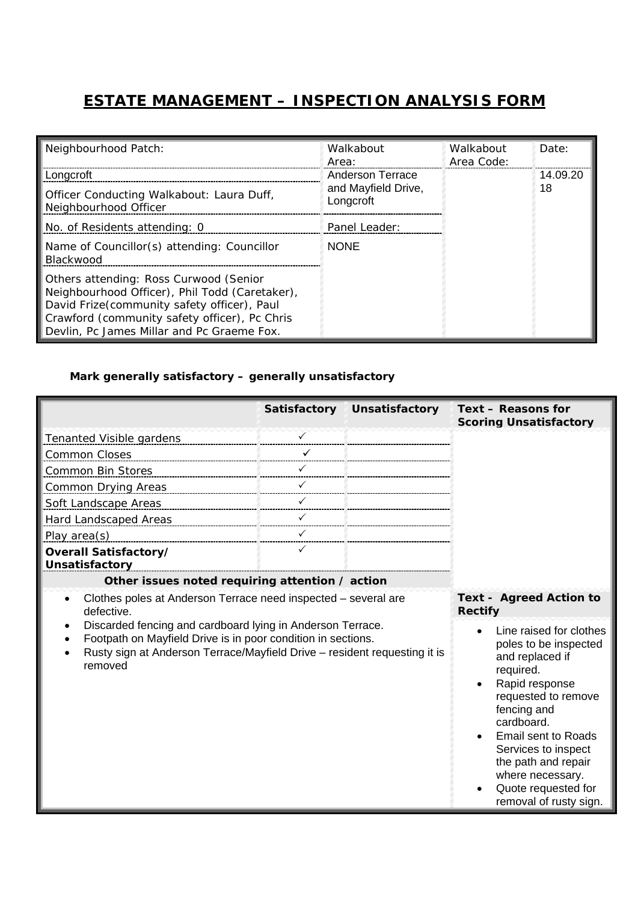## **ESTATE MANAGEMENT – INSPECTION ANALYSIS FORM**

| Neighbourhood Patch:                                                                                                                                                                                                                   | Walkabout<br>Area:                                          | Walkabout<br>Area Code: | Date:          |
|----------------------------------------------------------------------------------------------------------------------------------------------------------------------------------------------------------------------------------------|-------------------------------------------------------------|-------------------------|----------------|
| Longcroft<br>Officer Conducting Walkabout: Laura Duff,<br>Neighbourhood Officer                                                                                                                                                        | <b>Anderson Terrace</b><br>and Mayfield Drive.<br>Longcroft |                         | 14.09.20<br>18 |
| No. of Residents attending: 0                                                                                                                                                                                                          | Panel Leader:                                               |                         |                |
| Name of Councillor(s) attending: Councillor<br>Blackwood                                                                                                                                                                               | <b>NONE</b>                                                 |                         |                |
| Others attending: Ross Curwood (Senior<br>Neighbourhood Officer), Phil Todd (Caretaker),<br>David Frize(community safety officer), Paul<br>Crawford (community safety officer), Pc Chris<br>Devlin, Pc James Millar and Pc Graeme Fox. |                                                             |                         |                |

## *Mark generally satisfactory – generally unsatisfactory*

|                                                                                                                                                                                                                    | <b>Satisfactory</b> | <b>Unsatisfactory</b>                                                                                                                                                                                                                                                                                   | Text - Reasons for<br><b>Scoring Unsatisfactory</b> |
|--------------------------------------------------------------------------------------------------------------------------------------------------------------------------------------------------------------------|---------------------|---------------------------------------------------------------------------------------------------------------------------------------------------------------------------------------------------------------------------------------------------------------------------------------------------------|-----------------------------------------------------|
| <b>Tenanted Visible gardens</b>                                                                                                                                                                                    |                     |                                                                                                                                                                                                                                                                                                         |                                                     |
| <b>Common Closes</b>                                                                                                                                                                                               |                     |                                                                                                                                                                                                                                                                                                         |                                                     |
| Common Bin Stores                                                                                                                                                                                                  |                     |                                                                                                                                                                                                                                                                                                         |                                                     |
| Common Drying Areas                                                                                                                                                                                                |                     |                                                                                                                                                                                                                                                                                                         |                                                     |
| Soft Landscape Areas                                                                                                                                                                                               |                     |                                                                                                                                                                                                                                                                                                         |                                                     |
| Hard Landscaped Areas                                                                                                                                                                                              |                     |                                                                                                                                                                                                                                                                                                         |                                                     |
| Play area(s)                                                                                                                                                                                                       |                     |                                                                                                                                                                                                                                                                                                         |                                                     |
| Overall Satisfactory/<br><b>Unsatisfactory</b>                                                                                                                                                                     | ✓                   |                                                                                                                                                                                                                                                                                                         |                                                     |
| Other issues noted requiring attention / action                                                                                                                                                                    |                     |                                                                                                                                                                                                                                                                                                         |                                                     |
| Clothes poles at Anderson Terrace need inspected - several are<br>defective.                                                                                                                                       |                     |                                                                                                                                                                                                                                                                                                         | <b>Text - Agreed Action to</b><br><b>Rectify</b>    |
| Discarded fencing and cardboard lying in Anderson Terrace.<br>Footpath on Mayfield Drive is in poor condition in sections.<br>Rusty sign at Anderson Terrace/Mayfield Drive - resident requesting it is<br>removed |                     | Line raised for clothes<br>poles to be inspected<br>and replaced if<br>required.<br>Rapid response<br>requested to remove<br>fencing and<br>cardboard.<br><b>Email sent to Roads</b><br>Services to inspect<br>the path and repair<br>where necessary.<br>Quote requested for<br>removal of rusty sign. |                                                     |